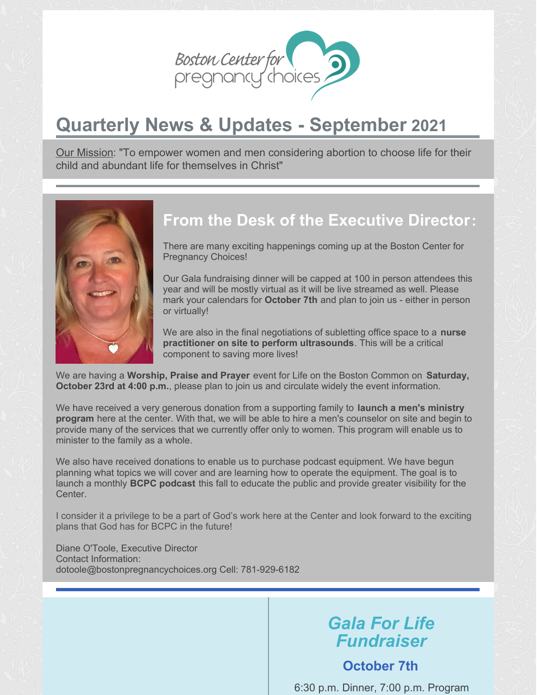

# **Quarterly News & Updates - September 2021**

Our Mission: "To empower women and men considering abortion to choose life for their child and abundant life for themselves in Christ"



## **From the Desk of the Executive Director:**

There are many exciting happenings coming up at the Boston Center for Pregnancy Choices!

Our Gala fundraising dinner will be capped at 100 in person attendees this year and will be mostly virtual as it will be live streamed as well. Please mark your calendars for **October 7th** and plan to join us - either in person or virtually!

We are also in the final negotiations of subletting office space to a **nurse practitioner on site to perform ultrasounds**. This will be a critical component to saving more lives!

We are having a **Worship, Praise and Prayer** event for Life on the Boston Common on **Saturday, October 23rd at 4:00 p.m.**, please plan to join us and circulate widely the event information.

We have received a very generous donation from a supporting family to **launch a men's ministry program** here at the center. With that, we will be able to hire a men's counselor on site and begin to provide many of the services that we currently offer only to women. This program will enable us to minister to the family as a whole.

We also have received donations to enable us to purchase podcast equipment. We have begun planning what topics we will cover and are learning how to operate the equipment. The goal is to launch a monthly **BCPC podcast** this fall to educate the public and provide greater visibility for the Center.

I consider it a privilege to be a part of God's work here at the Center and look forward to the exciting plans that God has for BCPC in the future!

Diane O'Toole, Executive Director Contact Information: dotoole@bostonpregnancychoices.org Cell: 781-929-6182

## *Gala For Life Fundraiser*

#### **October 7th**

6:30 p.m. Dinner, 7:00 p.m. Program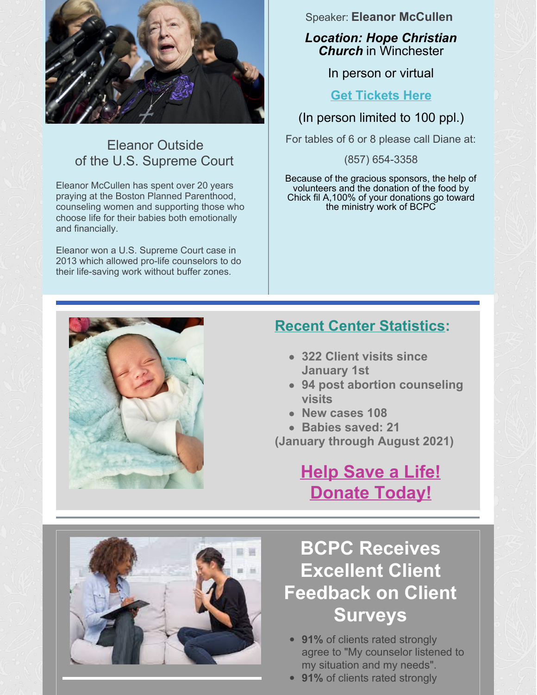

## Eleanor Outside of the U.S. Supreme Court

Eleanor McCullen has spent over 20 years praying at the Boston Planned Parenthood, counseling women and supporting those who choose life for their babies both emotionally and financially.

Eleanor won a U.S. Supreme Court case in 2013 which allowed pro-life counselors to do their life-saving work without buffer zones.

#### Speaker: **Eleanor McCullen**

*Location: Hope Christian Church* in Winchester

In person or virtual

#### **Get [Tickets](https://go.dojiggy.io/galaforlife/Campaign/Details) Here**

(In person limited to 100 ppl.)

For tables of 6 or 8 please call Diane at:

(857) 654-3358

Because of the gracious sponsors, the help of volunteers and the donation of the food by Chick fil A,100% of your donations go toward the ministry work of BCPC

## **Recent Center Statistics:**

- **322 Client visits since January 1st**
- **94 post abortion counseling visits**
- **New cases 108**
- **Babies saved: 21**

**(January through August 2021)**

# **Help Save a Life! [Donate](https://bcpc.givingfuel.com/bcpc-giving) Today!**

# **BCPC Receives Excellent Client Feedback on Client Surveys**

- **91%** of clients rated strongly agree to "My counselor listened to my situation and my needs".
- **91%** of clients rated strongly

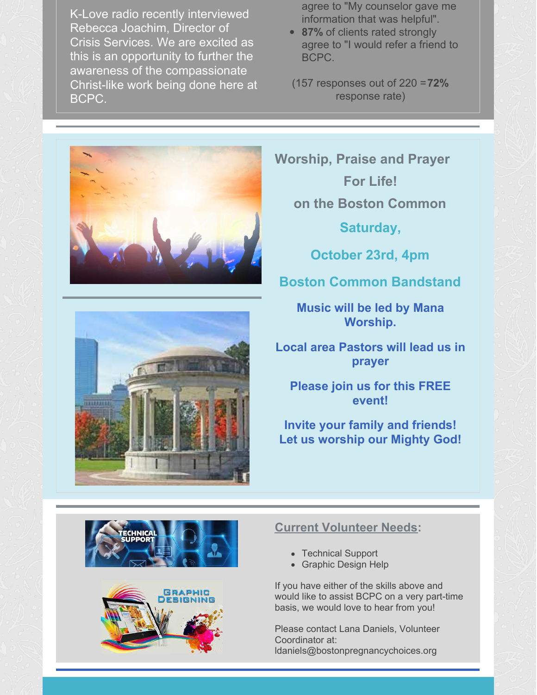agree to "My counselor gave me information that was helpful".

- **87%** of clients rated strongly agree to "I would refer a friend to BCPC.
- (157 responses out of 220 =**72%** response rate)

**Worship, Praise and Prayer For Life! on the Boston Common**

**Saturday,**

**October 23rd, 4pm**

### **Boston Common Bandstand**

**Music will be led by Mana Worship.**

**Local area Pastors will lead us in prayer**

**Please join us for this FREE event!**

**Invite your family and friends! Let us worship our Mighty God!**





#### **Current Volunteer Needs:**

- Technical Support
- Graphic Design Help

If you have either of the skills above and would like to assist BCPC on a very part-time basis, we would love to hear from you!

Please contact Lana Daniels, Volunteer Coordinator at: ldaniels@bostonpregnancychoices.org